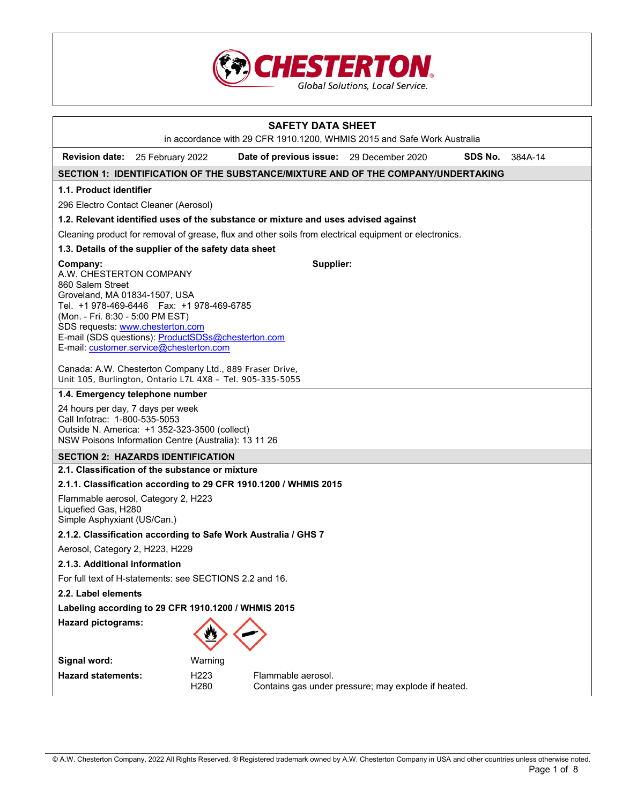

| <b>SAFETY DATA SHEET</b><br>in accordance with 29 CFR 1910.1200, WHMIS 2015 and Safe Work Australia                                                                                                                                                                                                                            |                                                                                                                                                                             |                                       |                                                                                    |                                                                                                        |         |         |
|--------------------------------------------------------------------------------------------------------------------------------------------------------------------------------------------------------------------------------------------------------------------------------------------------------------------------------|-----------------------------------------------------------------------------------------------------------------------------------------------------------------------------|---------------------------------------|------------------------------------------------------------------------------------|--------------------------------------------------------------------------------------------------------|---------|---------|
| <b>Revision date:</b>                                                                                                                                                                                                                                                                                                          | 25 February 2022                                                                                                                                                            |                                       | Date of previous issue: 29 December 2020                                           |                                                                                                        | SDS No. | 384A-14 |
|                                                                                                                                                                                                                                                                                                                                |                                                                                                                                                                             |                                       |                                                                                    | SECTION 1: IDENTIFICATION OF THE SUBSTANCE/MIXTURE AND OF THE COMPANY/UNDERTAKING                      |         |         |
| 1.1. Product identifier                                                                                                                                                                                                                                                                                                        |                                                                                                                                                                             |                                       |                                                                                    |                                                                                                        |         |         |
| 296 Electro Contact Cleaner (Aerosol)                                                                                                                                                                                                                                                                                          |                                                                                                                                                                             |                                       |                                                                                    |                                                                                                        |         |         |
|                                                                                                                                                                                                                                                                                                                                |                                                                                                                                                                             |                                       | 1.2. Relevant identified uses of the substance or mixture and uses advised against |                                                                                                        |         |         |
|                                                                                                                                                                                                                                                                                                                                |                                                                                                                                                                             |                                       |                                                                                    | Cleaning product for removal of grease, flux and other soils from electrical equipment or electronics. |         |         |
| 1.3. Details of the supplier of the safety data sheet                                                                                                                                                                                                                                                                          |                                                                                                                                                                             |                                       |                                                                                    |                                                                                                        |         |         |
| Supplier:<br>Company:<br>A.W. CHESTERTON COMPANY<br>860 Salem Street<br>Groveland, MA 01834-1507, USA<br>Tel. +1 978-469-6446    Fax: +1 978-469-6785<br>(Mon. - Fri. 8:30 - 5:00 PM EST)<br>SDS requests: www.chesterton.com<br>E-mail (SDS questions): ProductSDSs@chesterton.com<br>E-mail: customer.service@chesterton.com |                                                                                                                                                                             |                                       |                                                                                    |                                                                                                        |         |         |
| Canada: A.W. Chesterton Company Ltd., 889 Fraser Drive,<br>Unit 105, Burlington, Ontario L7L 4X8 - Tel. 905-335-5055                                                                                                                                                                                                           |                                                                                                                                                                             |                                       |                                                                                    |                                                                                                        |         |         |
| 1.4. Emergency telephone number                                                                                                                                                                                                                                                                                                |                                                                                                                                                                             |                                       |                                                                                    |                                                                                                        |         |         |
|                                                                                                                                                                                                                                                                                                                                | 24 hours per day, 7 days per week<br>Call Infotrac: 1-800-535-5053<br>Outside N. America: +1 352-323-3500 (collect)<br>NSW Poisons Information Centre (Australia): 13 11 26 |                                       |                                                                                    |                                                                                                        |         |         |
| <b>SECTION 2: HAZARDS IDENTIFICATION</b>                                                                                                                                                                                                                                                                                       |                                                                                                                                                                             |                                       |                                                                                    |                                                                                                        |         |         |
| 2.1. Classification of the substance or mixture                                                                                                                                                                                                                                                                                |                                                                                                                                                                             |                                       |                                                                                    |                                                                                                        |         |         |
| 2.1.1. Classification according to 29 CFR 1910.1200 / WHMIS 2015                                                                                                                                                                                                                                                               |                                                                                                                                                                             |                                       |                                                                                    |                                                                                                        |         |         |
| Flammable aerosol, Category 2, H223<br>Liquefied Gas, H280<br>Simple Asphyxiant (US/Can.)                                                                                                                                                                                                                                      |                                                                                                                                                                             |                                       |                                                                                    |                                                                                                        |         |         |
| 2.1.2. Classification according to Safe Work Australia / GHS 7                                                                                                                                                                                                                                                                 |                                                                                                                                                                             |                                       |                                                                                    |                                                                                                        |         |         |
|                                                                                                                                                                                                                                                                                                                                | Aerosol, Category 2, H223, H229                                                                                                                                             |                                       |                                                                                    |                                                                                                        |         |         |
| 2.1.3. Additional information                                                                                                                                                                                                                                                                                                  |                                                                                                                                                                             |                                       |                                                                                    |                                                                                                        |         |         |
| For full text of H-statements: see SECTIONS 2.2 and 16.                                                                                                                                                                                                                                                                        |                                                                                                                                                                             |                                       |                                                                                    |                                                                                                        |         |         |
| 2.2. Label elements                                                                                                                                                                                                                                                                                                            |                                                                                                                                                                             |                                       |                                                                                    |                                                                                                        |         |         |
| Labeling according to 29 CFR 1910.1200 / WHMIS 2015                                                                                                                                                                                                                                                                            |                                                                                                                                                                             |                                       |                                                                                    |                                                                                                        |         |         |
| <b>Hazard pictograms:</b>                                                                                                                                                                                                                                                                                                      |                                                                                                                                                                             |                                       |                                                                                    |                                                                                                        |         |         |
| Signal word:                                                                                                                                                                                                                                                                                                                   |                                                                                                                                                                             | Warning                               |                                                                                    |                                                                                                        |         |         |
| <b>Hazard statements:</b>                                                                                                                                                                                                                                                                                                      |                                                                                                                                                                             | H <sub>223</sub><br>H <sub>2</sub> 80 | Flammable aerosol.                                                                 | Contains gas under pressure; may explode if heated.                                                    |         |         |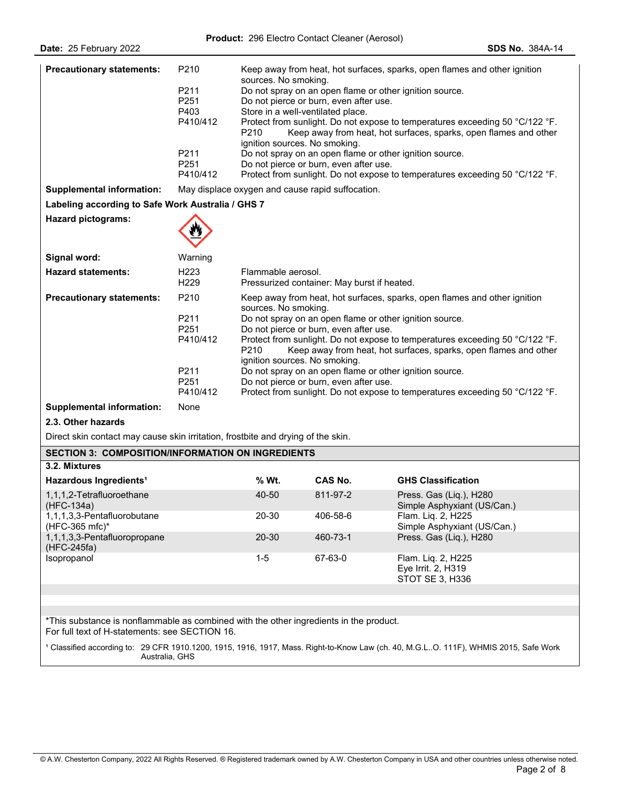| Date: 25 February 2022                                                                                                                   |                                                                                              |                                                                                                                                                                                                                                                                                                                                                                                                                                                                                                                                                                                                      |                                                                                                                       | <b>SDS No. 384A-14</b>                                                                                                                                                                                                                                                                                                                                                                                                              |
|------------------------------------------------------------------------------------------------------------------------------------------|----------------------------------------------------------------------------------------------|------------------------------------------------------------------------------------------------------------------------------------------------------------------------------------------------------------------------------------------------------------------------------------------------------------------------------------------------------------------------------------------------------------------------------------------------------------------------------------------------------------------------------------------------------------------------------------------------------|-----------------------------------------------------------------------------------------------------------------------|-------------------------------------------------------------------------------------------------------------------------------------------------------------------------------------------------------------------------------------------------------------------------------------------------------------------------------------------------------------------------------------------------------------------------------------|
| <b>Precautionary statements:</b>                                                                                                         | P210<br>P211<br>P <sub>251</sub><br>P403<br>P410/412<br>P211<br>P <sub>251</sub><br>P410/412 | sources. No smoking.<br>P210<br>ignition sources. No smoking.                                                                                                                                                                                                                                                                                                                                                                                                                                                                                                                                        | Do not pierce or burn, even after use.<br>Store in a well-ventilated place.<br>Do not pierce or burn, even after use. | Keep away from heat, hot surfaces, sparks, open flames and other ignition<br>Do not spray on an open flame or other ignition source.<br>Protect from sunlight. Do not expose to temperatures exceeding 50 °C/122 °F.<br>Keep away from heat, hot surfaces, sparks, open flames and other<br>Do not spray on an open flame or other ignition source.<br>Protect from sunlight. Do not expose to temperatures exceeding 50 °C/122 °F. |
| <b>Supplemental information:</b>                                                                                                         |                                                                                              |                                                                                                                                                                                                                                                                                                                                                                                                                                                                                                                                                                                                      | May displace oxygen and cause rapid suffocation.                                                                      |                                                                                                                                                                                                                                                                                                                                                                                                                                     |
| Labeling according to Safe Work Australia / GHS 7                                                                                        |                                                                                              |                                                                                                                                                                                                                                                                                                                                                                                                                                                                                                                                                                                                      |                                                                                                                       |                                                                                                                                                                                                                                                                                                                                                                                                                                     |
| <b>Hazard pictograms:</b>                                                                                                                |                                                                                              |                                                                                                                                                                                                                                                                                                                                                                                                                                                                                                                                                                                                      |                                                                                                                       |                                                                                                                                                                                                                                                                                                                                                                                                                                     |
| Signal word:                                                                                                                             | Warning                                                                                      |                                                                                                                                                                                                                                                                                                                                                                                                                                                                                                                                                                                                      |                                                                                                                       |                                                                                                                                                                                                                                                                                                                                                                                                                                     |
| <b>Hazard statements:</b>                                                                                                                | H <sub>223</sub><br>H <sub>229</sub>                                                         | Flammable aerosol.                                                                                                                                                                                                                                                                                                                                                                                                                                                                                                                                                                                   | Pressurized container: May burst if heated.                                                                           |                                                                                                                                                                                                                                                                                                                                                                                                                                     |
| <b>Precautionary statements:</b><br><b>Supplemental information:</b><br>2.3. Other hazards                                               | P210<br>P211<br>P <sub>251</sub><br>P410/412<br>P211<br>P <sub>251</sub><br>P410/412<br>None | Keep away from heat, hot surfaces, sparks, open flames and other ignition<br>sources. No smoking.<br>Do not spray on an open flame or other ignition source.<br>Do not pierce or burn, even after use.<br>Protect from sunlight. Do not expose to temperatures exceeding 50 °C/122 °F.<br>P <sub>210</sub><br>Keep away from heat, hot surfaces, sparks, open flames and other<br>ignition sources. No smoking.<br>Do not spray on an open flame or other ignition source.<br>Do not pierce or burn, even after use.<br>Protect from sunlight. Do not expose to temperatures exceeding 50 °C/122 °F. |                                                                                                                       |                                                                                                                                                                                                                                                                                                                                                                                                                                     |
| Direct skin contact may cause skin irritation, frostbite and drying of the skin.                                                         |                                                                                              |                                                                                                                                                                                                                                                                                                                                                                                                                                                                                                                                                                                                      |                                                                                                                       |                                                                                                                                                                                                                                                                                                                                                                                                                                     |
| <b>SECTION 3: COMPOSITION/INFORMATION ON INGREDIENTS</b>                                                                                 |                                                                                              |                                                                                                                                                                                                                                                                                                                                                                                                                                                                                                                                                                                                      |                                                                                                                       |                                                                                                                                                                                                                                                                                                                                                                                                                                     |
| 3.2. Mixtures                                                                                                                            |                                                                                              |                                                                                                                                                                                                                                                                                                                                                                                                                                                                                                                                                                                                      |                                                                                                                       |                                                                                                                                                                                                                                                                                                                                                                                                                                     |
| Hazardous Ingredients <sup>1</sup>                                                                                                       |                                                                                              | % Wt.                                                                                                                                                                                                                                                                                                                                                                                                                                                                                                                                                                                                | CAS No.                                                                                                               | <b>GHS Classification</b>                                                                                                                                                                                                                                                                                                                                                                                                           |
| 1,1,1,2-Tetrafluoroethane<br>(HFC-134a)                                                                                                  |                                                                                              | 40-50                                                                                                                                                                                                                                                                                                                                                                                                                                                                                                                                                                                                | 811-97-2                                                                                                              | Press. Gas (Liq.), H280<br>Simple Asphyxiant (US/Can.)                                                                                                                                                                                                                                                                                                                                                                              |
| 1,1,1,3,3-Pentafluorobutane<br>(HFC-365 mfc)*                                                                                            |                                                                                              | 20-30                                                                                                                                                                                                                                                                                                                                                                                                                                                                                                                                                                                                | 406-58-6                                                                                                              | Flam. Liq. 2, H225<br>Simple Asphyxiant (US/Can.)                                                                                                                                                                                                                                                                                                                                                                                   |
| 1,1,1,3,3-Pentafluoropropane<br>(HFC-245fa)                                                                                              |                                                                                              | 20-30                                                                                                                                                                                                                                                                                                                                                                                                                                                                                                                                                                                                | 460-73-1                                                                                                              | Press. Gas (Liq.), H280                                                                                                                                                                                                                                                                                                                                                                                                             |
| Isopropanol                                                                                                                              |                                                                                              | $1 - 5$                                                                                                                                                                                                                                                                                                                                                                                                                                                                                                                                                                                              | 67-63-0                                                                                                               | Flam. Liq. 2, H225<br>Eye Irrit. 2, H319<br>STOT SE 3, H336                                                                                                                                                                                                                                                                                                                                                                         |
|                                                                                                                                          |                                                                                              |                                                                                                                                                                                                                                                                                                                                                                                                                                                                                                                                                                                                      |                                                                                                                       |                                                                                                                                                                                                                                                                                                                                                                                                                                     |
|                                                                                                                                          |                                                                                              |                                                                                                                                                                                                                                                                                                                                                                                                                                                                                                                                                                                                      |                                                                                                                       |                                                                                                                                                                                                                                                                                                                                                                                                                                     |
| *This substance is nonflammable as combined with the other ingredients in the product.<br>For full text of H-statements: see SECTION 16. |                                                                                              |                                                                                                                                                                                                                                                                                                                                                                                                                                                                                                                                                                                                      |                                                                                                                       |                                                                                                                                                                                                                                                                                                                                                                                                                                     |
|                                                                                                                                          | Australia, GHS                                                                               |                                                                                                                                                                                                                                                                                                                                                                                                                                                                                                                                                                                                      |                                                                                                                       | <sup>1</sup> Classified according to: 29 CFR 1910.1200, 1915, 1916, 1917, Mass. Right-to-Know Law (ch. 40, M.G.LO. 111F), WHMIS 2015, Safe Work                                                                                                                                                                                                                                                                                     |
|                                                                                                                                          |                                                                                              |                                                                                                                                                                                                                                                                                                                                                                                                                                                                                                                                                                                                      |                                                                                                                       |                                                                                                                                                                                                                                                                                                                                                                                                                                     |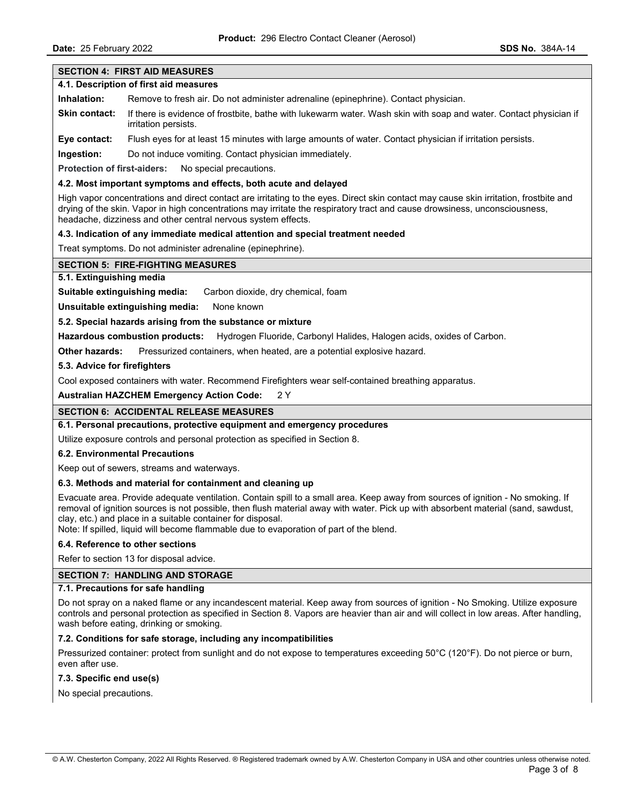**Date:** 25 February 2022 **SDS No.** 384A-14

# **SECTION 4: FIRST AID MEASURES 4.1. Description of first aid measures Inhalation:** Remove to fresh air. Do not administer adrenaline (epinephrine). Contact physician. **Skin contact:** If there is evidence of frostbite, bathe with lukewarm water. Wash skin with soap and water. Contact physician if irritation persists. **Eye contact:** Flush eyes for at least 15 minutes with large amounts of water. Contact physician if irritation persists. **Ingestion:** Do not induce vomiting. Contact physician immediately. **Protection of first-aiders:** No special precautions. **4.2. Most important symptoms and effects, both acute and delayed** High vapor concentrations and direct contact are irritating to the eyes. Direct skin contact may cause skin irritation, frostbite and drying of the skin. Vapor in high concentrations may irritate the respiratory tract and cause drowsiness, unconsciousness, headache, dizziness and other central nervous system effects. **4.3. Indication of any immediate medical attention and special treatment needed** Treat symptoms. Do not administer adrenaline (epinephrine). **SECTION 5: FIRE-FIGHTING MEASURES 5.1. Extinguishing media Suitable extinguishing media:** Carbon dioxide, dry chemical, foam **Unsuitable extinguishing media:** None known **5.2. Special hazards arising from the substance or mixture Hazardous combustion products:** Hydrogen Fluoride, Carbonyl Halides, Halogen acids, oxides of Carbon. **Other hazards:** Pressurized containers, when heated, are a potential explosive hazard. **5.3. Advice for firefighters**  Cool exposed containers with water. Recommend Firefighters wear self-contained breathing apparatus. **Australian HAZCHEM Emergency Action Code:** 2 Y **SECTION 6: ACCIDENTAL RELEASE MEASURES 6.1. Personal precautions, protective equipment and emergency procedures** Utilize exposure controls and personal protection as specified in Section 8. **6.2. Environmental Precautions**

Keep out of sewers, streams and waterways.

### **6.3. Methods and material for containment and cleaning up**

Evacuate area. Provide adequate ventilation. Contain spill to a small area. Keep away from sources of ignition - No smoking. If removal of ignition sources is not possible, then flush material away with water. Pick up with absorbent material (sand, sawdust, clay, etc.) and place in a suitable container for disposal.

Note: If spilled, liquid will become flammable due to evaporation of part of the blend.

### **6.4. Reference to other sections**

Refer to section 13 for disposal advice.

# **SECTION 7: HANDLING AND STORAGE**

### **7.1. Precautions for safe handling**

Do not spray on a naked flame or any incandescent material. Keep away from sources of ignition - No Smoking. Utilize exposure controls and personal protection as specified in Section 8. Vapors are heavier than air and will collect in low areas. After handling, wash before eating, drinking or smoking.

### **7.2. Conditions for safe storage, including any incompatibilities**

Pressurized container: protect from sunlight and do not expose to temperatures exceeding 50°C (120°F). Do not pierce or burn, even after use.

**7.3. Specific end use(s)** 

No special precautions.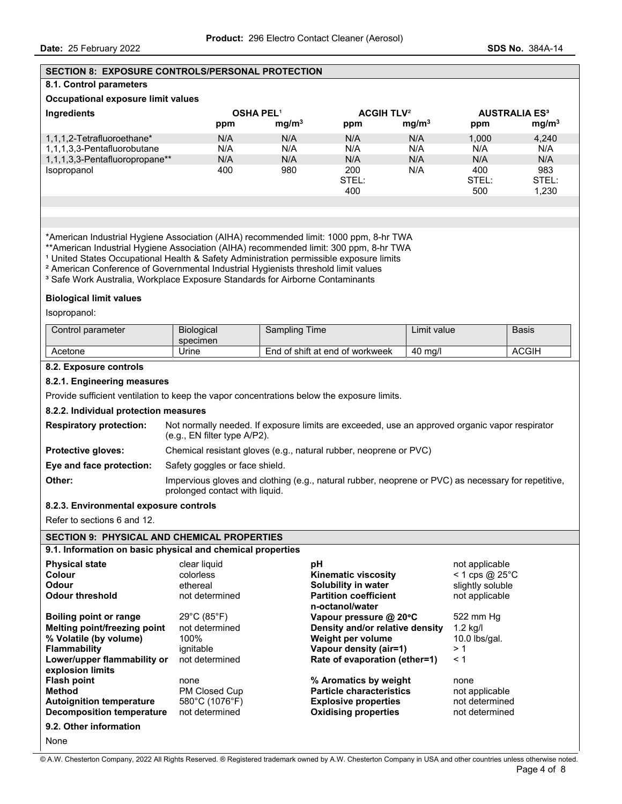## **SECTION 8: EXPOSURE CONTROLS/PERSONAL PROTECTION**

## **8.1. Control parameters**

#### **Occupational exposure limit values**

| Ingredients                    |     | <b>OSHA PEL1</b>  |       | <b>ACGIH TLV<sup>2</sup></b> |       | <b>AUSTRALIA ES<sup>3</sup></b> |
|--------------------------------|-----|-------------------|-------|------------------------------|-------|---------------------------------|
|                                | ppm | mq/m <sup>3</sup> | ppm   | mg/m <sup>3</sup>            | ppm   | mg/m <sup>3</sup>               |
| 1,1,1,2-Tetrafluoroethane*     | N/A | N/A               | N/A   | N/A                          | 1.000 | 4.240                           |
| 1,1,1,3,3-Pentafluorobutane    | N/A | N/A               | N/A   | N/A                          | N/A   | N/A                             |
| 1,1,1,3,3-Pentafluoropropane** | N/A | N/A               | N/A   | N/A                          | N/A   | N/A                             |
| Isopropanol                    | 400 | 980               | 200   | N/A                          | 400   | 983                             |
|                                |     |                   | STEL: |                              | STEL: | STEL:                           |
|                                |     |                   | 400   |                              | 500   | 1.230                           |
|                                |     |                   |       |                              |       |                                 |

\*American Industrial Hygiene Association (AIHA) recommended limit: 1000 ppm, 8-hr TWA

\*\*American Industrial Hygiene Association (AIHA) recommended limit: 300 ppm, 8-hr TWA

<sup>1</sup> United States Occupational Health & Safety Administration permissible exposure limits

² American Conference of Governmental Industrial Hygienists threshold limit values

<sup>3</sup> Safe Work Australia, Workplace Exposure Standards for Airborne Contaminants

#### **Biological limit values**

Isopropanol:

| Control parameter | Biological<br>specimen | Time<br>Sampling                     | ∟ımıt value∵ | <b>Basis</b> |
|-------------------|------------------------|--------------------------------------|--------------|--------------|
| Acetone           | Urine                  | d of shift at end of workweek<br>End | 40<br>ma/    | <b>ACGIH</b> |

# **8.2. Exposure controls**

#### **8.2.1. Engineering measures**

Provide sufficient ventilation to keep the vapor concentrations below the exposure limits.

#### **8.2.2. Individual protection measures**

| <b>Respiratory protection:</b> | Not normally needed. If exposure limits are exceeded, use an approved organic vapor respirator<br>(e.q., EN filter type A/P2).        |
|--------------------------------|---------------------------------------------------------------------------------------------------------------------------------------|
| <b>Protective gloves:</b>      | Chemical resistant gloves (e.g., natural rubber, neoprene or PVC)                                                                     |
| Eye and face protection:       | Safety goggles or face shield.                                                                                                        |
| Other:                         | Impervious gloves and clothing (e.g., natural rubber, neoprene or PVC) as necessary for repetitive,<br>prolonged contact with liquid. |

#### **8.2.3. Environmental exposure controls**

Refer to sections 6 and 12.

# **SECTION 9: PHYSICAL AND CHEMICAL PROPERTIES**

| 9.1. Information on basic physical and chemical properties |  |  |  |
|------------------------------------------------------------|--|--|--|
|------------------------------------------------------------|--|--|--|

| <b>Physical state</b><br>Colour | clear liquid<br>colorless | рH<br><b>Kinematic viscosity</b>                | not applicable<br>$<$ 1 cps @ 25 $^{\circ}$ C |
|---------------------------------|---------------------------|-------------------------------------------------|-----------------------------------------------|
| Odour                           | ethereal                  | Solubility in water                             | slightly soluble                              |
| <b>Odour threshold</b>          | not determined            | <b>Partition coefficient</b><br>n-octanol/water | not applicable                                |
| Boiling point or range          | 29°C (85°F)               | Vapour pressure @ $20^{\circ}$ C                | 522 mm Hg                                     |
| Melting point/freezing point    | not determined            | Density and/or relative density                 | $1.2$ kg/l                                    |
| % Volatile (by volume)          | 100%                      | Weight per volume                               | $10.0$ lbs/gal.                               |
| <b>Flammability</b>             | ignitable                 | Vapour density (air=1)                          | >1                                            |
| Lower/upper flammability or     | not determined            | Rate of evaporation (ether=1)                   | < 1                                           |
| explosion limits                |                           |                                                 |                                               |
| <b>Flash point</b>              | none                      | % Aromatics by weight                           | none                                          |
| <b>Method</b>                   | <b>PM Closed Cup</b>      | <b>Particle characteristics</b>                 | not applicable                                |
| <b>Autoignition temperature</b> | 580°C (1076°F)            | <b>Explosive properties</b>                     | not determined                                |
| Decomposition temperature       | not determined            | <b>Oxidising properties</b>                     | not determined                                |
| 9.2. Other information          |                           |                                                 |                                               |
| None                            |                           |                                                 |                                               |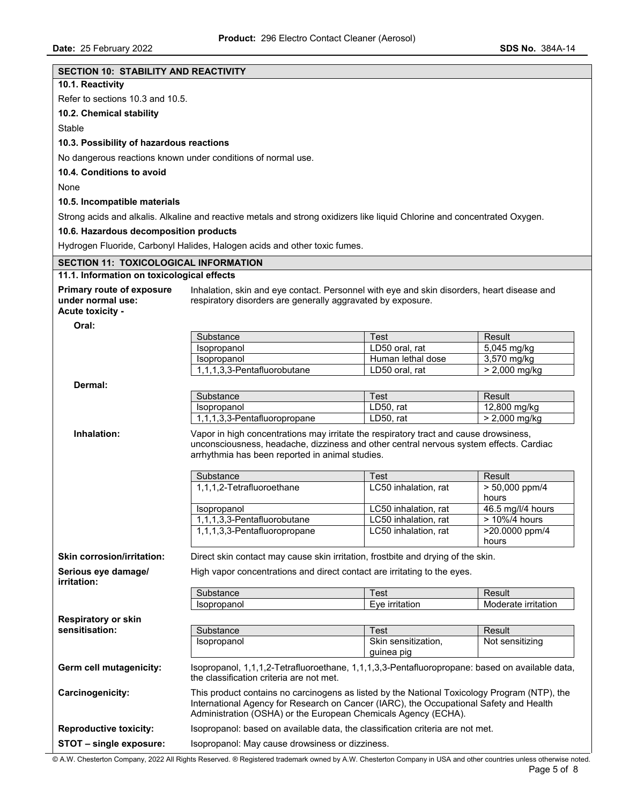| <b>SECTION 10: STABILITY AND REACTIVITY</b>  |                                                                                                                                            |                                   |                            |  |
|----------------------------------------------|--------------------------------------------------------------------------------------------------------------------------------------------|-----------------------------------|----------------------------|--|
| 10.1. Reactivity                             |                                                                                                                                            |                                   |                            |  |
| Refer to sections 10.3 and 10.5.             |                                                                                                                                            |                                   |                            |  |
| 10.2. Chemical stability                     |                                                                                                                                            |                                   |                            |  |
| Stable                                       |                                                                                                                                            |                                   |                            |  |
| 10.3. Possibility of hazardous reactions     |                                                                                                                                            |                                   |                            |  |
|                                              | No dangerous reactions known under conditions of normal use.                                                                               |                                   |                            |  |
| 10.4. Conditions to avoid                    |                                                                                                                                            |                                   |                            |  |
|                                              |                                                                                                                                            |                                   |                            |  |
| None                                         |                                                                                                                                            |                                   |                            |  |
| 10.5. Incompatible materials                 |                                                                                                                                            |                                   |                            |  |
|                                              | Strong acids and alkalis. Alkaline and reactive metals and strong oxidizers like liquid Chlorine and concentrated Oxygen.                  |                                   |                            |  |
| 10.6. Hazardous decomposition products       |                                                                                                                                            |                                   |                            |  |
|                                              | Hydrogen Fluoride, Carbonyl Halides, Halogen acids and other toxic fumes.                                                                  |                                   |                            |  |
| <b>SECTION 11: TOXICOLOGICAL INFORMATION</b> |                                                                                                                                            |                                   |                            |  |
| 11.1. Information on toxicological effects   |                                                                                                                                            |                                   |                            |  |
| <b>Primary route of exposure</b>             | Inhalation, skin and eye contact. Personnel with eye and skin disorders, heart disease and                                                 |                                   |                            |  |
| under normal use:                            | respiratory disorders are generally aggravated by exposure.                                                                                |                                   |                            |  |
| Acute toxicity -                             |                                                                                                                                            |                                   |                            |  |
| Oral:                                        | Substance                                                                                                                                  | Test                              | Result                     |  |
|                                              | Isopropanol                                                                                                                                | LD50 oral, rat                    | 5,045 mg/kg                |  |
|                                              | Isopropanol                                                                                                                                | Human lethal dose                 | 3,570 mg/kg                |  |
|                                              | 1,1,1,3,3-Pentafluorobutane                                                                                                                | LD50 oral, rat                    | $> 2,000$ mg/kg            |  |
| Dermal:                                      |                                                                                                                                            |                                   |                            |  |
|                                              | Substance                                                                                                                                  | Test                              | Result                     |  |
|                                              | Isopropanol                                                                                                                                | LD50, rat                         | 12,800 mg/kg               |  |
|                                              | 1,1,1,3,3-Pentafluoropropane                                                                                                               | LD50, rat                         | $> 2,000$ mg/kg            |  |
| Inhalation:                                  | Vapor in high concentrations may irritate the respiratory tract and cause drowsiness,                                                      |                                   |                            |  |
|                                              | unconsciousness, headache, dizziness and other central nervous system effects. Cardiac<br>arrhythmia has been reported in animal studies.  |                                   |                            |  |
|                                              |                                                                                                                                            |                                   |                            |  |
|                                              | Substance                                                                                                                                  | Test                              | Result                     |  |
|                                              | 1,1,1,2-Tetrafluoroethane                                                                                                                  | LC50 inhalation, rat              | > 50,000 ppm/4             |  |
|                                              | <b>Isopropanol</b>                                                                                                                         | LC50 inhalation, rat              | hours<br>46.5 mg/l/4 hours |  |
|                                              | 1,1,1,3,3-Pentafluorobutane                                                                                                                | LC50 inhalation, rat              | > 10%/4 hours              |  |
|                                              | 1,1,1,3,3-Pentafluoropropane                                                                                                               | LC50 inhalation, rat              | >20.0000 ppm/4             |  |
|                                              |                                                                                                                                            |                                   | hours                      |  |
| <b>Skin corrosion/irritation:</b>            | Direct skin contact may cause skin irritation, frostbite and drying of the skin.                                                           |                                   |                            |  |
| Serious eye damage/<br>irritation:           | High vapor concentrations and direct contact are irritating to the eyes.                                                                   |                                   |                            |  |
|                                              | Substance                                                                                                                                  | Test                              | Result                     |  |
|                                              | Isopropanol                                                                                                                                | Eye irritation                    | Moderate irritation        |  |
| <b>Respiratory or skin</b>                   |                                                                                                                                            |                                   |                            |  |
| sensitisation:                               | Substance                                                                                                                                  | Test                              | Result                     |  |
|                                              | Isopropanol                                                                                                                                | Skin sensitization,<br>guinea pig | Not sensitizing            |  |
|                                              |                                                                                                                                            |                                   |                            |  |
| Germ cell mutagenicity:                      | Isopropanol, 1,1,1,2-Tetrafluoroethane, 1,1,1,3,3-Pentafluoropropane: based on available data,<br>the classification criteria are not met. |                                   |                            |  |
| Carcinogenicity:                             | This product contains no carcinogens as listed by the National Toxicology Program (NTP), the                                               |                                   |                            |  |
|                                              | International Agency for Research on Cancer (IARC), the Occupational Safety and Health                                                     |                                   |                            |  |
|                                              | Administration (OSHA) or the European Chemicals Agency (ECHA).                                                                             |                                   |                            |  |
| <b>Reproductive toxicity:</b>                | Isopropanol: based on available data, the classification criteria are not met.                                                             |                                   |                            |  |
| STOT - single exposure:                      | Isopropanol: May cause drowsiness or dizziness.                                                                                            |                                   |                            |  |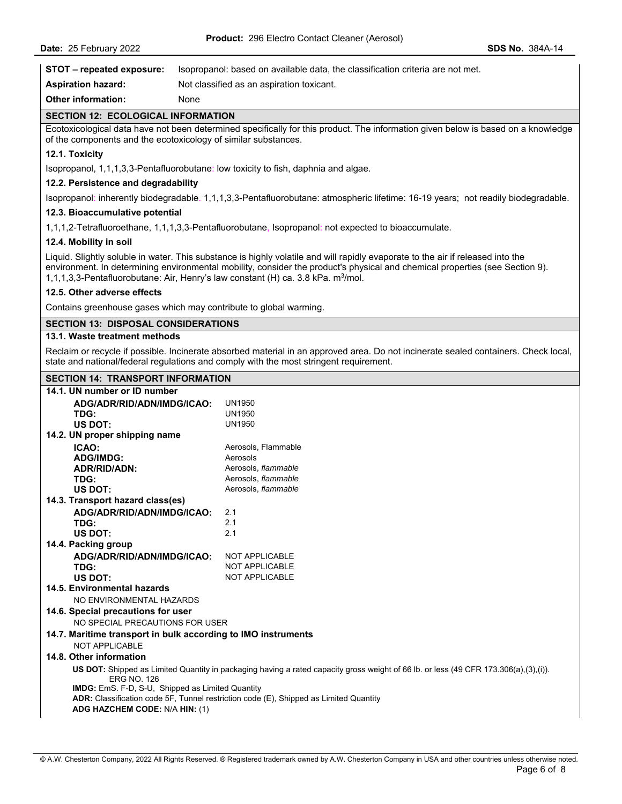|                                                                                                                                                                                                                               |                                                                                                                                                                                                                                                                                                                                                                 | Product: 296 Electro Contact Cleaner (Aerosol)                                                                                    |                 |  |  |
|-------------------------------------------------------------------------------------------------------------------------------------------------------------------------------------------------------------------------------|-----------------------------------------------------------------------------------------------------------------------------------------------------------------------------------------------------------------------------------------------------------------------------------------------------------------------------------------------------------------|-----------------------------------------------------------------------------------------------------------------------------------|-----------------|--|--|
| Date: 25 February 2022                                                                                                                                                                                                        |                                                                                                                                                                                                                                                                                                                                                                 |                                                                                                                                   | SDS No. 384A-14 |  |  |
| STOT - repeated exposure:                                                                                                                                                                                                     |                                                                                                                                                                                                                                                                                                                                                                 | Isopropanol: based on available data, the classification criteria are not met.                                                    |                 |  |  |
| <b>Aspiration hazard:</b>                                                                                                                                                                                                     |                                                                                                                                                                                                                                                                                                                                                                 | Not classified as an aspiration toxicant.                                                                                         |                 |  |  |
| <b>Other information:</b>                                                                                                                                                                                                     | None                                                                                                                                                                                                                                                                                                                                                            |                                                                                                                                   |                 |  |  |
| <b>SECTION 12: ECOLOGICAL INFORMATION</b>                                                                                                                                                                                     |                                                                                                                                                                                                                                                                                                                                                                 |                                                                                                                                   |                 |  |  |
| of the components and the ecotoxicology of similar substances.                                                                                                                                                                |                                                                                                                                                                                                                                                                                                                                                                 | Ecotoxicological data have not been determined specifically for this product. The information given below is based on a knowledge |                 |  |  |
| 12.1. Toxicity                                                                                                                                                                                                                |                                                                                                                                                                                                                                                                                                                                                                 |                                                                                                                                   |                 |  |  |
|                                                                                                                                                                                                                               |                                                                                                                                                                                                                                                                                                                                                                 | Isopropanol, 1,1,1,3,3-Pentafluorobutane: low toxicity to fish, daphnia and algae.                                                |                 |  |  |
| 12.2. Persistence and degradability                                                                                                                                                                                           |                                                                                                                                                                                                                                                                                                                                                                 |                                                                                                                                   |                 |  |  |
|                                                                                                                                                                                                                               |                                                                                                                                                                                                                                                                                                                                                                 | Isopropanol: inherently biodegradable. 1,1,1,3,3-Pentafluorobutane: atmospheric lifetime: 16-19 years; not readily biodegradable. |                 |  |  |
| 12.3. Bioaccumulative potential                                                                                                                                                                                               |                                                                                                                                                                                                                                                                                                                                                                 |                                                                                                                                   |                 |  |  |
|                                                                                                                                                                                                                               |                                                                                                                                                                                                                                                                                                                                                                 | 1,1,1,2-Tetrafluoroethane, 1,1,1,3,3-Pentafluorobutane, Isopropanol: not expected to bioaccumulate.                               |                 |  |  |
| 12.4. Mobility in soil                                                                                                                                                                                                        |                                                                                                                                                                                                                                                                                                                                                                 |                                                                                                                                   |                 |  |  |
|                                                                                                                                                                                                                               | Liquid. Slightly soluble in water. This substance is highly volatile and will rapidly evaporate to the air if released into the<br>environment. In determining environmental mobility, consider the product's physical and chemical properties (see Section 9).<br>1,1,1,3,3-Pentafluorobutane: Air, Henry's law constant (H) ca. 3.8 kPa. m <sup>3</sup> /mol. |                                                                                                                                   |                 |  |  |
| 12.5. Other adverse effects                                                                                                                                                                                                   |                                                                                                                                                                                                                                                                                                                                                                 |                                                                                                                                   |                 |  |  |
| Contains greenhouse gases which may contribute to global warming.                                                                                                                                                             |                                                                                                                                                                                                                                                                                                                                                                 |                                                                                                                                   |                 |  |  |
| <b>SECTION 13: DISPOSAL CONSIDERATIONS</b>                                                                                                                                                                                    |                                                                                                                                                                                                                                                                                                                                                                 |                                                                                                                                   |                 |  |  |
| 13.1. Waste treatment methods                                                                                                                                                                                                 |                                                                                                                                                                                                                                                                                                                                                                 |                                                                                                                                   |                 |  |  |
| Reclaim or recycle if possible. Incinerate absorbed material in an approved area. Do not incinerate sealed containers. Check local,<br>state and national/federal regulations and comply with the most stringent requirement. |                                                                                                                                                                                                                                                                                                                                                                 |                                                                                                                                   |                 |  |  |
| <b>SECTION 14: TRANSPORT INFORMATION</b>                                                                                                                                                                                      |                                                                                                                                                                                                                                                                                                                                                                 |                                                                                                                                   |                 |  |  |
| 14.1. UN number or ID number<br>ADG/ADR/RID/ADN/IMDG/ICAO:<br>TDG:<br>US DOT:                                                                                                                                                 |                                                                                                                                                                                                                                                                                                                                                                 | <b>UN1950</b><br><b>UN1950</b><br>UN1950                                                                                          |                 |  |  |
| 14.2. UN proper shipping name                                                                                                                                                                                                 |                                                                                                                                                                                                                                                                                                                                                                 |                                                                                                                                   |                 |  |  |
| ICAO:<br><b>ADG/IMDG:</b><br><b>ADR/RID/ADN:</b><br>TDG:                                                                                                                                                                      |                                                                                                                                                                                                                                                                                                                                                                 | Aerosols, Flammable<br>Aerosols<br>Aerosols, flammable<br>Aerosols, flammable                                                     |                 |  |  |
| US DOT:                                                                                                                                                                                                                       |                                                                                                                                                                                                                                                                                                                                                                 | Aerosols, flammable                                                                                                               |                 |  |  |

| TDG:                                                                                                                                                              | UN1950                |  |  |  |
|-------------------------------------------------------------------------------------------------------------------------------------------------------------------|-----------------------|--|--|--|
| <b>US DOT:</b>                                                                                                                                                    | UN1950                |  |  |  |
| 14.2. UN proper shipping name                                                                                                                                     |                       |  |  |  |
| ICAO:                                                                                                                                                             | Aerosols, Flammable   |  |  |  |
| <b>ADG/IMDG:</b>                                                                                                                                                  | Aerosols              |  |  |  |
| ADR/RID/ADN:                                                                                                                                                      | Aerosols, flammable   |  |  |  |
| TDG:                                                                                                                                                              | Aerosols, flammable   |  |  |  |
| US DOT:                                                                                                                                                           | Aerosols, flammable   |  |  |  |
| 14.3. Transport hazard class(es)                                                                                                                                  |                       |  |  |  |
| ADG/ADR/RID/ADN/IMDG/ICAO:                                                                                                                                        | 2.1                   |  |  |  |
| TDG:                                                                                                                                                              | 2.1                   |  |  |  |
| US DOT:                                                                                                                                                           | 2.1                   |  |  |  |
| 14.4. Packing group                                                                                                                                               |                       |  |  |  |
| ADG/ADR/RID/ADN/IMDG/ICAO:                                                                                                                                        | <b>NOT APPLICABLE</b> |  |  |  |
| TDG:                                                                                                                                                              | <b>NOT APPLICABLE</b> |  |  |  |
| US DOT:                                                                                                                                                           | <b>NOT APPLICABLE</b> |  |  |  |
| 14.5. Environmental hazards                                                                                                                                       |                       |  |  |  |
| NO ENVIRONMENTAL HAZARDS                                                                                                                                          |                       |  |  |  |
| 14.6. Special precautions for user                                                                                                                                |                       |  |  |  |
| NO SPECIAL PRECAUTIONS FOR USER                                                                                                                                   |                       |  |  |  |
| 14.7. Maritime transport in bulk according to IMO instruments                                                                                                     |                       |  |  |  |
| NOT APPLICABLE                                                                                                                                                    |                       |  |  |  |
| 14.8. Other information                                                                                                                                           |                       |  |  |  |
| <b>US DOT:</b> Shipped as Limited Quantity in packaging having a rated capacity gross weight of 66 lb. or less (49 CFR 173.306(a),(3),(i)).<br><b>ERG NO. 126</b> |                       |  |  |  |
| IMDG: EmS. F-D, S-U, Shipped as Limited Quantity                                                                                                                  |                       |  |  |  |
| ADR: Classification code 5F, Tunnel restriction code (E), Shipped as Limited Quantity                                                                             |                       |  |  |  |
| ADG HAZCHEM CODE: N/A HIN: (1)                                                                                                                                    |                       |  |  |  |
|                                                                                                                                                                   |                       |  |  |  |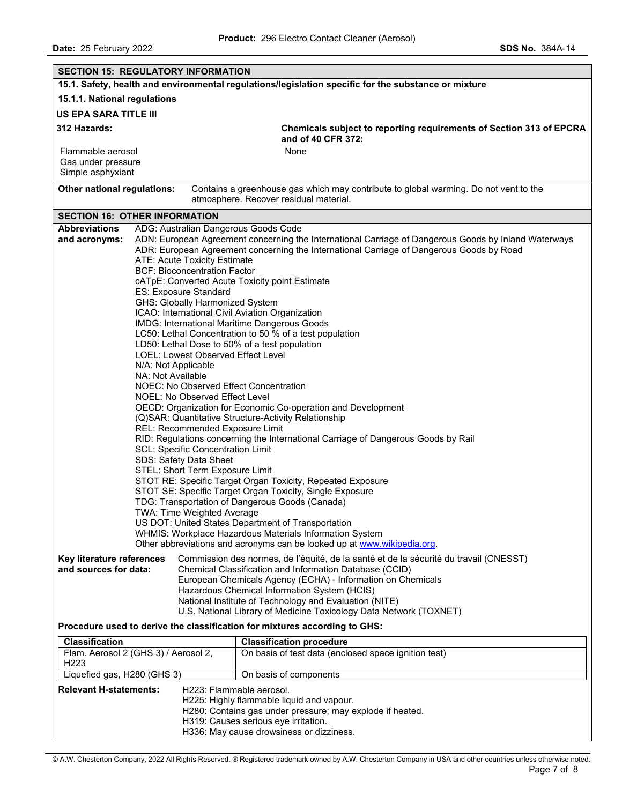| <b>SECTION 15: REGULATORY INFORMATION</b>                                                                                                                                                                                                                                                                                                                                                                                                             |                                                                                                                                                                                                                                                                                                                                                                                                                                                                                                                                                                                                                                                                                                                                                                                                                                                                                                                                                                                                                                                                                                                                                                                                                                                                                        |                                                                                                                                                                                                                        |  |  |
|-------------------------------------------------------------------------------------------------------------------------------------------------------------------------------------------------------------------------------------------------------------------------------------------------------------------------------------------------------------------------------------------------------------------------------------------------------|----------------------------------------------------------------------------------------------------------------------------------------------------------------------------------------------------------------------------------------------------------------------------------------------------------------------------------------------------------------------------------------------------------------------------------------------------------------------------------------------------------------------------------------------------------------------------------------------------------------------------------------------------------------------------------------------------------------------------------------------------------------------------------------------------------------------------------------------------------------------------------------------------------------------------------------------------------------------------------------------------------------------------------------------------------------------------------------------------------------------------------------------------------------------------------------------------------------------------------------------------------------------------------------|------------------------------------------------------------------------------------------------------------------------------------------------------------------------------------------------------------------------|--|--|
|                                                                                                                                                                                                                                                                                                                                                                                                                                                       |                                                                                                                                                                                                                                                                                                                                                                                                                                                                                                                                                                                                                                                                                                                                                                                                                                                                                                                                                                                                                                                                                                                                                                                                                                                                                        | 15.1. Safety, health and environmental regulations/legislation specific for the substance or mixture                                                                                                                   |  |  |
| 15.1.1. National regulations                                                                                                                                                                                                                                                                                                                                                                                                                          |                                                                                                                                                                                                                                                                                                                                                                                                                                                                                                                                                                                                                                                                                                                                                                                                                                                                                                                                                                                                                                                                                                                                                                                                                                                                                        |                                                                                                                                                                                                                        |  |  |
| <b>US EPA SARA TITLE III</b>                                                                                                                                                                                                                                                                                                                                                                                                                          |                                                                                                                                                                                                                                                                                                                                                                                                                                                                                                                                                                                                                                                                                                                                                                                                                                                                                                                                                                                                                                                                                                                                                                                                                                                                                        |                                                                                                                                                                                                                        |  |  |
| 312 Hazards:                                                                                                                                                                                                                                                                                                                                                                                                                                          |                                                                                                                                                                                                                                                                                                                                                                                                                                                                                                                                                                                                                                                                                                                                                                                                                                                                                                                                                                                                                                                                                                                                                                                                                                                                                        | Chemicals subject to reporting requirements of Section 313 of EPCRA<br>and of 40 CFR 372:                                                                                                                              |  |  |
| Flammable aerosol                                                                                                                                                                                                                                                                                                                                                                                                                                     |                                                                                                                                                                                                                                                                                                                                                                                                                                                                                                                                                                                                                                                                                                                                                                                                                                                                                                                                                                                                                                                                                                                                                                                                                                                                                        | None                                                                                                                                                                                                                   |  |  |
| Gas under pressure<br>Simple asphyxiant                                                                                                                                                                                                                                                                                                                                                                                                               |                                                                                                                                                                                                                                                                                                                                                                                                                                                                                                                                                                                                                                                                                                                                                                                                                                                                                                                                                                                                                                                                                                                                                                                                                                                                                        |                                                                                                                                                                                                                        |  |  |
| Other national regulations:                                                                                                                                                                                                                                                                                                                                                                                                                           |                                                                                                                                                                                                                                                                                                                                                                                                                                                                                                                                                                                                                                                                                                                                                                                                                                                                                                                                                                                                                                                                                                                                                                                                                                                                                        | Contains a greenhouse gas which may contribute to global warming. Do not vent to the<br>atmosphere. Recover residual material.                                                                                         |  |  |
| <b>SECTION 16: OTHER INFORMATION</b>                                                                                                                                                                                                                                                                                                                                                                                                                  |                                                                                                                                                                                                                                                                                                                                                                                                                                                                                                                                                                                                                                                                                                                                                                                                                                                                                                                                                                                                                                                                                                                                                                                                                                                                                        |                                                                                                                                                                                                                        |  |  |
| <b>Abbreviations</b>                                                                                                                                                                                                                                                                                                                                                                                                                                  |                                                                                                                                                                                                                                                                                                                                                                                                                                                                                                                                                                                                                                                                                                                                                                                                                                                                                                                                                                                                                                                                                                                                                                                                                                                                                        |                                                                                                                                                                                                                        |  |  |
| and acronyms:<br>TDG: Transportation of Dangerous Goods (Canada)                                                                                                                                                                                                                                                                                                                                                                                      | ADG: Australian Dangerous Goods Code<br>ADN: European Agreement concerning the International Carriage of Dangerous Goods by Inland Waterways<br>ADR: European Agreement concerning the International Carriage of Dangerous Goods by Road<br>ATE: Acute Toxicity Estimate<br><b>BCF: Bioconcentration Factor</b><br>cATpE: Converted Acute Toxicity point Estimate<br>ES: Exposure Standard<br>GHS: Globally Harmonized System<br>ICAO: International Civil Aviation Organization<br>IMDG: International Maritime Dangerous Goods<br>LC50: Lethal Concentration to 50 % of a test population<br>LD50: Lethal Dose to 50% of a test population<br>LOEL: Lowest Observed Effect Level<br>N/A: Not Applicable<br>NA: Not Available<br>NOEC: No Observed Effect Concentration<br>NOEL: No Observed Effect Level<br>OECD: Organization for Economic Co-operation and Development<br>(Q)SAR: Quantitative Structure-Activity Relationship<br>REL: Recommended Exposure Limit<br>RID: Regulations concerning the International Carriage of Dangerous Goods by Rail<br>SCL: Specific Concentration Limit<br>SDS: Safety Data Sheet<br>STEL: Short Term Exposure Limit<br>STOT RE: Specific Target Organ Toxicity, Repeated Exposure<br>STOT SE: Specific Target Organ Toxicity, Single Exposure |                                                                                                                                                                                                                        |  |  |
|                                                                                                                                                                                                                                                                                                                                                                                                                                                       | <b>TWA: Time Weighted Average</b>                                                                                                                                                                                                                                                                                                                                                                                                                                                                                                                                                                                                                                                                                                                                                                                                                                                                                                                                                                                                                                                                                                                                                                                                                                                      | US DOT: United States Department of Transportation<br>WHMIS: Workplace Hazardous Materials Information System                                                                                                          |  |  |
|                                                                                                                                                                                                                                                                                                                                                                                                                                                       | Other abbreviations and acronyms can be looked up at www.wikipedia.org.                                                                                                                                                                                                                                                                                                                                                                                                                                                                                                                                                                                                                                                                                                                                                                                                                                                                                                                                                                                                                                                                                                                                                                                                                |                                                                                                                                                                                                                        |  |  |
| Commission des normes, de l'équité, de la santé et de la sécurité du travail (CNESST)<br>Key literature references<br>and sources for data:<br>Chemical Classification and Information Database (CCID)<br>European Chemicals Agency (ECHA) - Information on Chemicals<br>Hazardous Chemical Information System (HCIS)<br>National Institute of Technology and Evaluation (NITE)<br>U.S. National Library of Medicine Toxicology Data Network (TOXNET) |                                                                                                                                                                                                                                                                                                                                                                                                                                                                                                                                                                                                                                                                                                                                                                                                                                                                                                                                                                                                                                                                                                                                                                                                                                                                                        |                                                                                                                                                                                                                        |  |  |
| Procedure used to derive the classification for mixtures according to GHS:                                                                                                                                                                                                                                                                                                                                                                            |                                                                                                                                                                                                                                                                                                                                                                                                                                                                                                                                                                                                                                                                                                                                                                                                                                                                                                                                                                                                                                                                                                                                                                                                                                                                                        |                                                                                                                                                                                                                        |  |  |
| <b>Classification</b>                                                                                                                                                                                                                                                                                                                                                                                                                                 |                                                                                                                                                                                                                                                                                                                                                                                                                                                                                                                                                                                                                                                                                                                                                                                                                                                                                                                                                                                                                                                                                                                                                                                                                                                                                        | <b>Classification procedure</b>                                                                                                                                                                                        |  |  |
| Flam. Aerosol 2 (GHS 3) / Aerosol 2,<br>H <sub>223</sub>                                                                                                                                                                                                                                                                                                                                                                                              |                                                                                                                                                                                                                                                                                                                                                                                                                                                                                                                                                                                                                                                                                                                                                                                                                                                                                                                                                                                                                                                                                                                                                                                                                                                                                        | On basis of test data (enclosed space ignition test)                                                                                                                                                                   |  |  |
| Liquefied gas, H280 (GHS 3)                                                                                                                                                                                                                                                                                                                                                                                                                           |                                                                                                                                                                                                                                                                                                                                                                                                                                                                                                                                                                                                                                                                                                                                                                                                                                                                                                                                                                                                                                                                                                                                                                                                                                                                                        | On basis of components                                                                                                                                                                                                 |  |  |
| <b>Relevant H-statements:</b>                                                                                                                                                                                                                                                                                                                                                                                                                         |                                                                                                                                                                                                                                                                                                                                                                                                                                                                                                                                                                                                                                                                                                                                                                                                                                                                                                                                                                                                                                                                                                                                                                                                                                                                                        | H223: Flammable aerosol.<br>H225: Highly flammable liquid and vapour.<br>H280: Contains gas under pressure; may explode if heated.<br>H319: Causes serious eye irritation.<br>H336: May cause drowsiness or dizziness. |  |  |